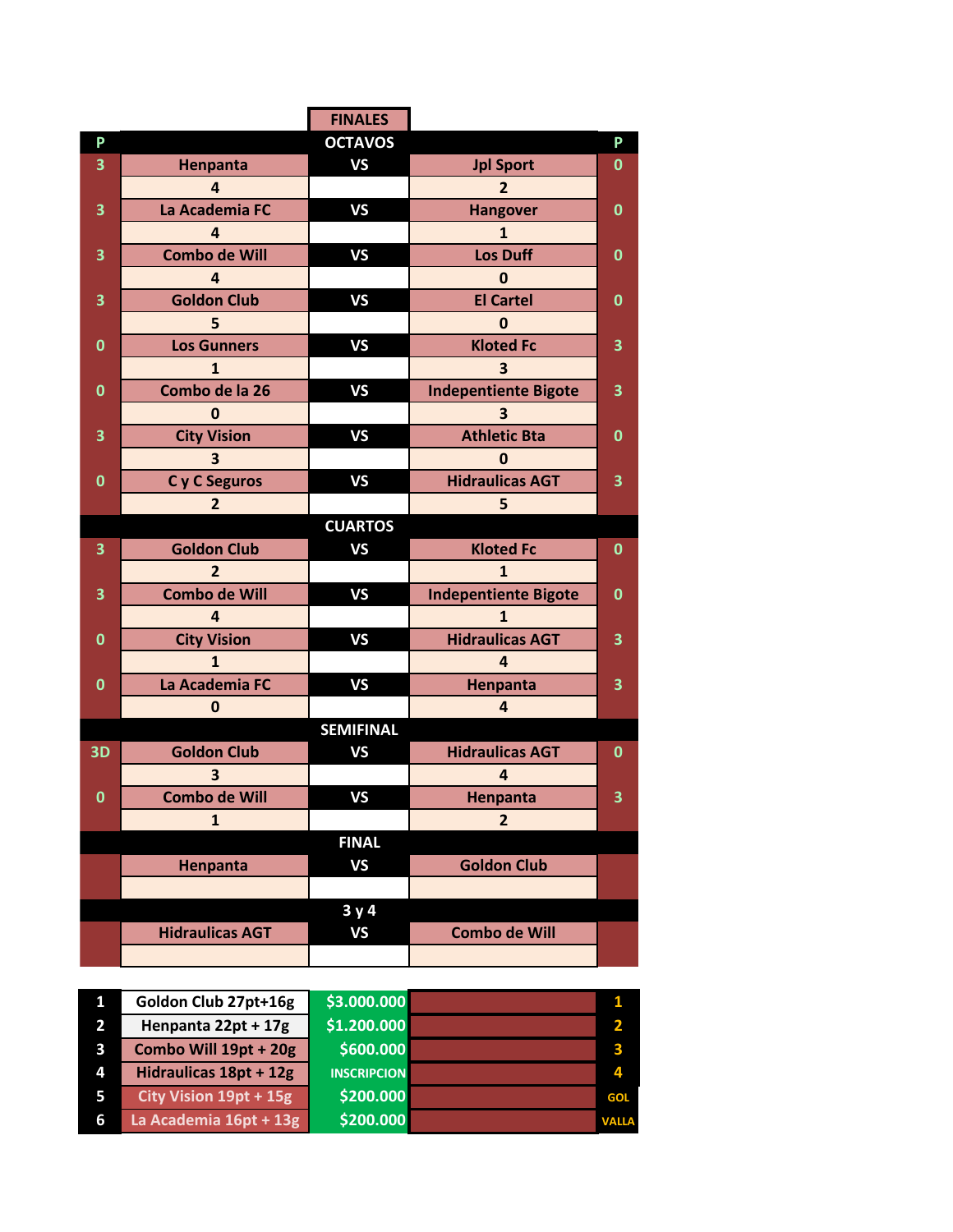|                         |                        | <b>FINALES</b>     |                             |               |
|-------------------------|------------------------|--------------------|-----------------------------|---------------|
| P                       |                        | <b>OCTAVOS</b>     |                             | P             |
| 3                       | Henpanta               | <b>VS</b>          | <b>Jpl Sport</b>            | $\mathbf 0$   |
|                         | 4                      |                    | $\overline{2}$              |               |
| 3                       | La Academia FC         | <b>VS</b>          | <b>Hangover</b>             | 0             |
|                         | 4                      |                    | 1                           |               |
| 3                       | <b>Combo de Will</b>   | <b>VS</b>          | <b>Los Duff</b>             | 0             |
|                         | 4                      |                    | $\mathbf{0}$                |               |
| 3                       | <b>Goldon Club</b>     | <b>VS</b>          | <b>El Cartel</b>            | 0             |
|                         | 5                      |                    | 0                           |               |
| $\bf{0}$                | <b>Los Gunners</b>     | <b>VS</b>          | <b>Kloted Fc</b>            | 3             |
|                         | 1                      |                    | 3                           |               |
| $\bf{0}$                | Combo de la 26         | <b>VS</b>          | <b>Indepentiente Bigote</b> | 3             |
|                         | 0                      |                    | $\overline{\mathbf{3}}$     |               |
| 3                       | <b>City Vision</b>     | <b>VS</b>          | <b>Athletic Bta</b>         | 0             |
|                         | 3                      |                    | 0                           |               |
| 0                       | C y C Seguros          | <b>VS</b>          | <b>Hidraulicas AGT</b>      | 3             |
|                         | $\overline{2}$         |                    | 5                           |               |
|                         |                        | <b>CUARTOS</b>     |                             |               |
| 3                       | <b>Goldon Club</b>     | <b>VS</b>          | <b>Kloted Fc</b>            | $\bf{0}$      |
|                         | $\overline{2}$         |                    | $\mathbf{1}$                |               |
| 3                       | <b>Combo de Will</b>   | <b>VS</b>          | <b>Indepentiente Bigote</b> | $\mathbf 0$   |
|                         | 4                      |                    | 1                           |               |
| 0                       | <b>City Vision</b>     | <b>VS</b>          | <b>Hidraulicas AGT</b>      | 3             |
|                         | 1                      |                    | 4                           |               |
| $\bf{0}$                | La Academia FC         | <b>VS</b>          | Henpanta                    | 3             |
|                         | 0                      |                    | $\overline{a}$              |               |
|                         |                        | <b>SEMIFINAL</b>   |                             |               |
| <b>3D</b>               | <b>Goldon Club</b>     | <b>VS</b>          | <b>Hidraulicas AGT</b>      | $\mathbf 0$   |
|                         | 3                      |                    | 4                           |               |
| 0                       | <b>Combo de Will</b>   | <b>VS</b>          | Henpanta                    | 3             |
|                         | $\mathbf{1}$           |                    | $\overline{2}$              |               |
|                         |                        | <b>FINAL</b>       |                             |               |
|                         | Henpanta               | <b>VS</b>          | <b>Goldon Club</b>          |               |
|                         |                        |                    |                             |               |
|                         |                        | 3y4                |                             |               |
|                         | <b>Hidraulicas AGT</b> | <b>VS</b>          | <b>Combo de Will</b>        |               |
|                         |                        |                    |                             |               |
|                         |                        |                    |                             |               |
| $\mathbf{1}$            | Goldon Club 27pt+16g   | \$3.000.000        |                             | $\mathbf{1}$  |
| $\overline{\mathbf{c}}$ | Henpanta 22pt + 17g    | \$1.200.000        |                             |               |
| 3                       | Combo Will 19pt + 20g  | \$600.000          |                             | $\frac{2}{3}$ |
| 4                       | Hidraulicas 18pt + 12g | <b>INSCRIPCION</b> |                             | 4             |

**City Vision 19pt + 15g \$200.000 GOL**

**La Academia 16pt + 13g \$200.000**